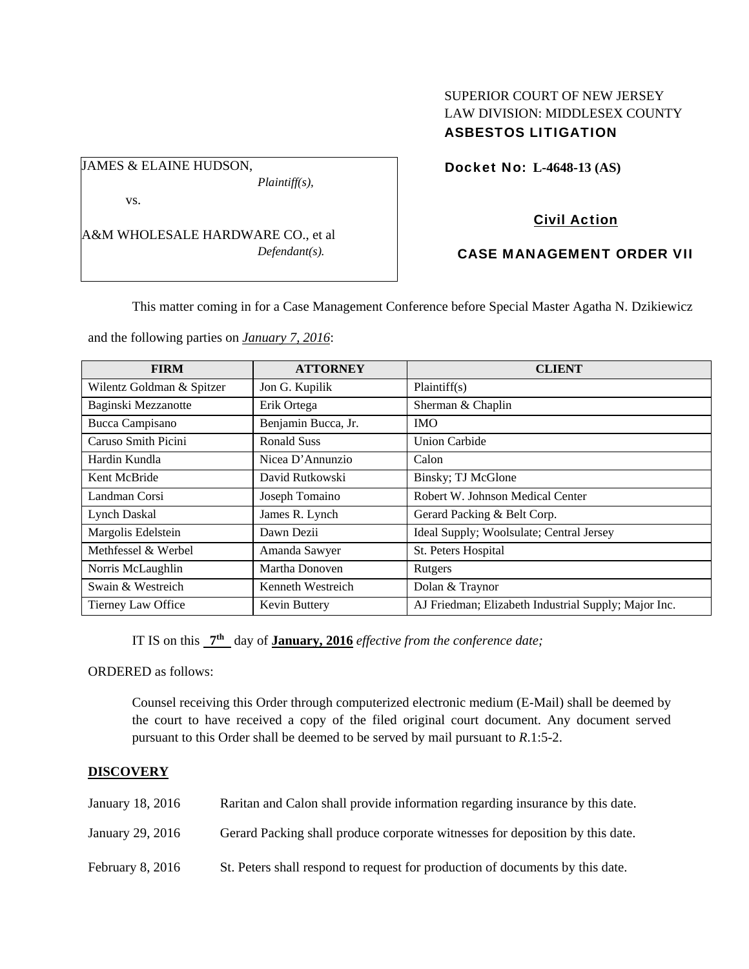# SUPERIOR COURT OF NEW JERSEY LAW DIVISION: MIDDLESEX COUNTY ASBESTOS LITIGATION

Docket No: **L-4648-13 (AS)** 

vs.

JAMES & ELAINE HUDSON,

A&M WHOLESALE HARDWARE CO., et al *Defendant(s).* 

*Plaintiff(s),* 

# Civil Action

# CASE MANAGEMENT ORDER VII

This matter coming in for a Case Management Conference before Special Master Agatha N. Dzikiewicz

and the following parties on *January 7, 2016*:

| <b>FIRM</b>               | <b>ATTORNEY</b>     | <b>CLIENT</b>                                        |
|---------------------------|---------------------|------------------------------------------------------|
| Wilentz Goldman & Spitzer | Jon G. Kupilik      | Plaintiff(s)                                         |
| Baginski Mezzanotte       | Erik Ortega         | Sherman & Chaplin                                    |
| Bucca Campisano           | Benjamin Bucca, Jr. | <b>IMO</b>                                           |
| Caruso Smith Picini       | <b>Ronald Suss</b>  | <b>Union Carbide</b>                                 |
| Hardin Kundla             | Nicea D'Annunzio    | Calon                                                |
| Kent McBride              | David Rutkowski     | Binsky; TJ McGlone                                   |
| Landman Corsi             | Joseph Tomaino      | Robert W. Johnson Medical Center                     |
| <b>Lynch Daskal</b>       | James R. Lynch      | Gerard Packing & Belt Corp.                          |
| Margolis Edelstein        | Dawn Dezii          | Ideal Supply; Woolsulate; Central Jersey             |
| Methfessel & Werbel       | Amanda Sawyer       | St. Peters Hospital                                  |
| Norris McLaughlin         | Martha Donoven      | Rutgers                                              |
| Swain & Westreich         | Kenneth Westreich   | Dolan & Traynor                                      |
| Tierney Law Office        | Kevin Buttery       | AJ Friedman; Elizabeth Industrial Supply; Major Inc. |

IT IS on this **7th** day of **January, 2016** *effective from the conference date;*

ORDERED as follows:

Counsel receiving this Order through computerized electronic medium (E-Mail) shall be deemed by the court to have received a copy of the filed original court document. Any document served pursuant to this Order shall be deemed to be served by mail pursuant to *R*.1:5-2.

#### **DISCOVERY**

| January 18, 2016   | Raritan and Calon shall provide information regarding insurance by this date. |
|--------------------|-------------------------------------------------------------------------------|
| January 29, 2016   | Gerard Packing shall produce corporate witnesses for deposition by this date. |
| February $8, 2016$ | St. Peters shall respond to request for production of documents by this date. |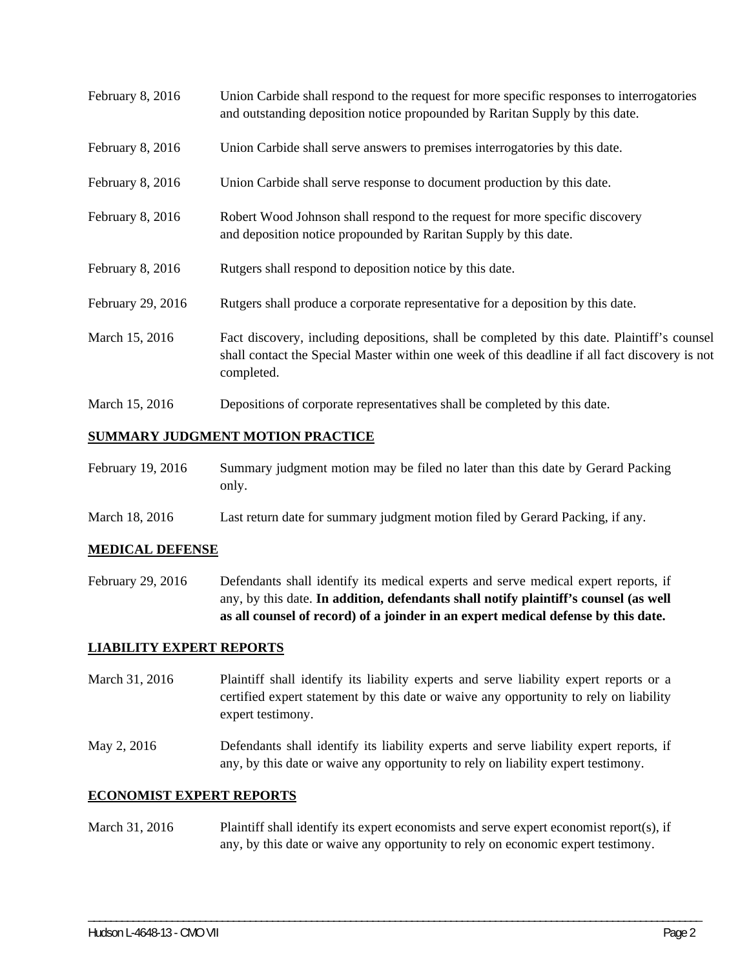| February 8, 2016  | Union Carbide shall respond to the request for more specific responses to interrogatories<br>and outstanding deposition notice propounded by Raritan Supply by this date.                                   |
|-------------------|-------------------------------------------------------------------------------------------------------------------------------------------------------------------------------------------------------------|
| February 8, 2016  | Union Carbide shall serve answers to premises interrogatories by this date.                                                                                                                                 |
| February 8, 2016  | Union Carbide shall serve response to document production by this date.                                                                                                                                     |
| February 8, 2016  | Robert Wood Johnson shall respond to the request for more specific discovery<br>and deposition notice propounded by Raritan Supply by this date.                                                            |
| February 8, 2016  | Rutgers shall respond to deposition notice by this date.                                                                                                                                                    |
| February 29, 2016 | Rutgers shall produce a corporate representative for a deposition by this date.                                                                                                                             |
| March 15, 2016    | Fact discovery, including depositions, shall be completed by this date. Plaintiff's counsel<br>shall contact the Special Master within one week of this deadline if all fact discovery is not<br>completed. |
| March 15, 2016    | Depositions of corporate representatives shall be completed by this date.                                                                                                                                   |

## **SUMMARY JUDGMENT MOTION PRACTICE**

| February 19, 2016 | Summary judgment motion may be filed no later than this date by Gerard Packing |
|-------------------|--------------------------------------------------------------------------------|
|                   | only.                                                                          |

March 18, 2016 Last return date for summary judgment motion filed by Gerard Packing, if any.

## **MEDICAL DEFENSE**

February 29, 2016 Defendants shall identify its medical experts and serve medical expert reports, if any, by this date. **In addition, defendants shall notify plaintiff's counsel (as well as all counsel of record) of a joinder in an expert medical defense by this date.** 

#### **LIABILITY EXPERT REPORTS**

- March 31, 2016 Plaintiff shall identify its liability experts and serve liability expert reports or a certified expert statement by this date or waive any opportunity to rely on liability expert testimony.
- May 2, 2016 Defendants shall identify its liability experts and serve liability expert reports, if any, by this date or waive any opportunity to rely on liability expert testimony.

### **ECONOMIST EXPERT REPORTS**

# March 31, 2016 Plaintiff shall identify its expert economists and serve expert economist report(s), if any, by this date or waive any opportunity to rely on economic expert testimony.

\_\_\_\_\_\_\_\_\_\_\_\_\_\_\_\_\_\_\_\_\_\_\_\_\_\_\_\_\_\_\_\_\_\_\_\_\_\_\_\_\_\_\_\_\_\_\_\_\_\_\_\_\_\_\_\_\_\_\_\_\_\_\_\_\_\_\_\_\_\_\_\_\_\_\_\_\_\_\_\_\_\_\_\_\_\_\_\_\_\_\_\_\_\_\_\_\_\_\_\_\_\_\_\_\_\_\_\_\_\_